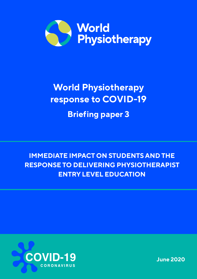

# **World Physiotherapy response to COVID-19**

**Briefing paper 3**

**IMMEDIATE IMPACT ON STUDENTS AND THE RESPONSE TO DELIVERING PHYSIOTHERAPIST ENTRY LEVEL EDUCATION**



**June 2020**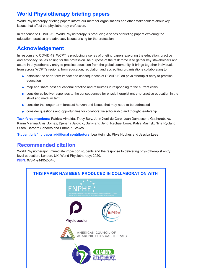# **World Physiotherapy briefing papers**

World Physiotherapy briefing papers inform our member organisations and other stakeholders about key issues that affect the physiotherapy profession.

In response to COVID-19, World Physiotherapy is producing a series of briefing papers exploring the education, practice and advocacy issues arising for the profession..

# **Acknowledgement**

In response to COVID-19, WCPT is producing a series of briefing papers exploring the education, practice and advocacy issues arising for the professionThe purpose of the task force is to gather key stakeholders and actors in physiotherapy entry to practice education from the global community. It brings together individuals from across WCPT's regions, from education, regulation and accrediting organisations collaborating to:

- establish the short-term impact and consequences of COVID-19 on physiotherapist entry to practice education
- **o** map and share best educational practice and resources in responding to the current crisis
- consider collective responses to the consequences for physiotherapist entry-to-practice education in the short and medium term
- consider the longer term forecast horizon and issues that may need to be addressed
- consider questions and opportunities for collaborative scholarship and thought leadership

**Task force members:** Patricia Almeida, Tracy Bury, John Xerri de Caro, Jean Damascene Gasherebuka, Karim Martina Alvis Gomez, Djenana Jalovcic, Suh-Fang Jeng, Rachael Lowe, Katya Masnyk, Nina Rydland Olsen, Barbara Sanders and Emma K Stokes

**Student briefing paper additional contributors:** Lea Heinrich, Rhys Hughes and Jessica Lees

## **Recommended citation**

World Physiotherapy. Immediate impact on students and the response to delivering physiotherapist entry level education. London, UK: World Physiotherapy; 2020. **ISBN:** 978-1-914952-04-3

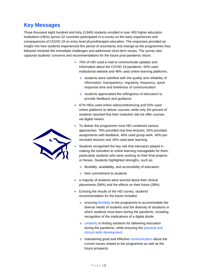## **Key Messages**

Three thousand eight hundred and forty (3,840) students enrolled in over 400 higher education institutions (HEIs) across 52 countries participated in a survey on the early experiences and consequences of COVID-19 on entry level physiotherapist education. The responses provided an insight into how students experienced this period of uncertainty and change as the programmes they followed resolved the immediate challenges and addressed short-term issues. The survey also captured students' concerns and recommendations for the future post-pandemic return.

- 70% of HEI used e-mail to communicate updates and information about the COVID-19 pandemic, 50% used institutional website and 46% used online learning platforms.
	- o students were satisfied with the quality and reliability of information, transparency, regularity, frequency, quick response time and timeliness of communication
	- o students appreciated the willingness of educators to provide feedback and guidance
- 67% HEIs used online videoconferencing and 53% used online platforms to deliver courses, while only 4% percent of students reported that their institution did not offer courses via digital means.
- To deliver the programme most HEI combined various approaches: 79% provided real time lectures, 55% provided assignments with feedback, 40% used group work, 40% prerecorded lectures and 16% used peer learning.
- Students recognised the key role that educators played in making the transition to online learning manageable for them, particularly students who were working on their final projects or theses. Students highlighted strengths, such as:
	- o flexibility, availability, and accessibility of educators
	- o their commitment to students
- a majority of students were worried about their clinical placements (58%) and the effects on their future (38%)
- Echoing the results of the HEI survey, students' recommendation for the future included:
	- o ensuring flexibility in the programme to accommodate the diverse needs of students and the diversity of situations in which students must learn during the pandemic, including recognition of the implications of a digital divide
	- o creativity in finding solutions for delivering education during the pandemic, while ensuring the practical and clinical skills development
	- o maintaining good and effective communication about the current issues related to the programme as well as the future prospects

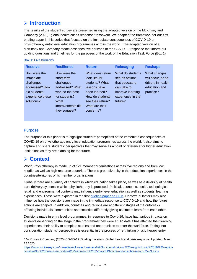# **Introduction**

The results of the student survey are presented using the adapted version of the McKinsey and Company (2020)<sup>[1](#page-3-0)</sup> global health crises response framework. We adapted the framework for our first briefing paper in this series that focused on the immediate consequences of COVID-19 on physiotherapy entry level education programmes across the world. The adapted version of a McKinsey and Company model describes five horizons of the COVID-19 response that inform our guiding questions and timelines for the purposes of the work of the Education Task Force (Box 1).

#### Box 1: Five horizons

| <b>Resolve</b>                                                                                              | <b>Resilience</b>                                                                                                                            | <b>Return</b>                                                                                                                                               | <b>Reimaging</b>                                                                                                        | <b>Reshape</b>                                                                        |
|-------------------------------------------------------------------------------------------------------------|----------------------------------------------------------------------------------------------------------------------------------------------|-------------------------------------------------------------------------------------------------------------------------------------------------------------|-------------------------------------------------------------------------------------------------------------------------|---------------------------------------------------------------------------------------|
| How were the<br>immediate<br>challenges<br>addressed? How<br>did students<br>experience these<br>solutions? | How were the<br>short-term<br>challenges<br>addressed? What<br>worked the best<br>for students?<br>What<br>improvements did<br>they suggest? | What does return<br>look like for<br>students? What<br>lessons have<br>been learned?<br>How do students<br>see their return?<br>What are their<br>concerns? | What do students<br>see as actions<br>that educators<br>can take to<br>improve learning<br>experience in the<br>future? | What changes<br>will occur, or be<br>driven, in health,<br>education and<br>practice? |

## **Purpose**

The purpose of this paper is to highlight students' perceptions of the immediate consequences of COVID-19 on physiotherapy entry level education programmes across the world. It also aims to capture and share students' perspectives that may serve as a point of reference for higher education institutions as they are planning for the future.

## **Context**

World Physiotherapy is made up of 121 member organisations across five regions and from low, middle, as well as high resource countries. There is great diversity in the education experiences in the countries/territories of its member organisations.

Globally there are a variety of contexts in which education takes place, as well as a diversity of health care delivery systems in which physiotherapy is practised. Political, economic, social, technological, legal, and environmental contexts may influence entry level education as well as students' learning experiences. These were explored in the first [briefing paper on HEIs.](https://www.wcpt.org/sites/wcpt.org/files/files/wcptnews/images/Education-Briefing-1-HEI-A4.pdf) Contextual factors may also influence how the decisions are made in the immediate response to COVID-19 and how the future actions are shaped. In addition, countries and regions are at different stages of the outbreaks affecting individuals, communities and societies differently giving us time to learn from each other.

Decisions made in entry level programmes, in response to Covid-19, have had various impacts on students depending on the stage in the programme they were at. To date it has affected their learning experiences, their ability to complete studies and opportunities to enter the workforce. Taking into consideration students' perspectives is essential in the process of re-thinking physiotherapy entry

<span id="page-3-0"></span> <sup>1</sup> McKinsey & Company (2020) COVID-19: Briefing materials. Global health and crisis response. Updated: March 25 2020.

[https://www.mckinsey.com/~/media/mckinsey/business%20functions/risk/our%20insights/covid%2019%20implica](https://www.mckinsey.com/%7E/media/mckinsey/business%20functions/risk/our%20insights/covid%2019%20implications%20for%20business/covid%2019%20march%2025/covid-19-facts-and-insights-march-25-v3.ashx) [tions%20for%20business/covid%2019%20march%2025/covid-19-facts-and-insights-march-25-v3.ashx](https://www.mckinsey.com/%7E/media/mckinsey/business%20functions/risk/our%20insights/covid%2019%20implications%20for%20business/covid%2019%20march%2025/covid-19-facts-and-insights-march-25-v3.ashx)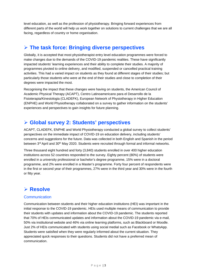level education, as well as the profession of physiotherapy. Bringing forward experiences from different parts of the world will help us work together on solutions to current challenges that we are all facing, regardless of country or home organisation.

## **The task force: Bringing diverse perspectives**

Globally, it is accepted that most physiotherapist entry level education programmes were forced to make changes due to the demands of the COVID-19 pandemic realities. These have significantly impacted students' learning experiences and their ability to complete their studies. A majority of programmes pivoted to online delivery, and modified, suspended or cancelled practical training activities. This had a varied impact on students as they found at different stages of their studies; but particularly those students who were at the end of their studies and close to completion of their degrees were impacted the most.

Recognising the impact that these changes were having on students, the American Council of Academic Physical Therapy (ACAPT), Centro Latinoamericano para el Desarrollo de la Fisioterapia/Kinesiologia (CLADEFK), European Network of Physiotherapy in Higher Education (ENPHE) and World Physiotherapy collaborated on a survey to gather information on the students' experiences and perspectives to gain insights for future planning.

## **Global survey 2: Students' perspectives**

ACAPT, CLADEFK, ENPHE and World Physiotherapy conducted a global survey to collect students' perspectives on the immediate impact of COVID-19 on education delivery, including students' concerns and suggestions for the future. Data was collected in both English and Spanish in the period between 3<sup>rd</sup> April and 30<sup>th</sup> May 2020. Students were recruited through formal and informal networks.

Three thousand eight hundred and forty (3,840) students enrolled in over 400 higher education institutions across 52 countries responded to the survey. Eighty percent (80%) of students were enrolled in a university professional or bachelor's degree programme, 15% were in a doctoral programme, and 2% were enrolled in a Master's programme. Forty four percent of respondents were in the first or second year of their programmes, 27% were in the third year and 30% were in the fourth or fitty year.

# **Resolve**

## **Communication**

Communication between students and their higher education institutions (HEI) was important in the initial response to the COVID-19 pandemic. HEIs used multiple means of communication to provide their students with updates and information about the COVID-19 pandemic. The students reported that 70% of HEIs communicated updates and information about the COVID-19 pandemic via e-mail, 50% via institutional website and 46% via online learning platforms, such as Blackboard or Moodle. Just 2% of HEIs communicated with students using social medial such as Facebook or WhatsApp. Students were satisfied when they were regularly informed about the current situation. They appreciated quick responses to their questions. Students did not have a preferred mean of communication.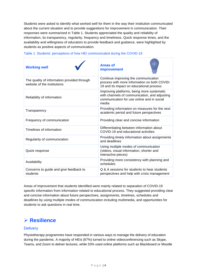Students were asked to identify what worked well for them in the way their institution communicated about the current situation and to provide suggestions for improvement in communication. Their responses were summarized in Table 1. Students appreciated the quality and reliability of information, its transparency, regularity, frequency and timeliness. Quick response times, and the availability and willingness of educators to provide feedback and guidance, were highlighted by students as positive aspects of communication.

| <b>Working well</b>                                                        | <b>Areas of</b><br><b>improvement</b>                                                                                                              |
|----------------------------------------------------------------------------|----------------------------------------------------------------------------------------------------------------------------------------------------|
| The quality of information provided through<br>website of the institutions | Continue improving the communication<br>process with more information on both COVID-<br>19 and its impact on educational process                   |
| Reliability of information                                                 | Improving platforms, being more systematic<br>with channels of communication, and adjusting<br>communication for use online and in social<br>media |
| Transparency                                                               | Providing information on measures for the next<br>academic period and future perspectives                                                          |
| Frequency of communication                                                 | Providing clear and concise information                                                                                                            |
| Timelines of information                                                   | Differentiating between information about<br>COVID-19 and educational activities                                                                   |
| Regularity of communication                                                | Providing timely information about assignments<br>and deadlines                                                                                    |
| Quick response                                                             | Using multiple modes of communication<br>(videos, visual information, shorter and<br>interactive pieces)                                           |
| Availability                                                               | Providing more consistency with planning and<br>schedules                                                                                          |
| Concerns to guide and give feedback to<br>students                         | Q & A sessions for students to hear students<br>perspectives and help with crisis management                                                       |

#### Table 1. Students' perceptions of how HEI communicated during the COVID-19

Areas of improvement that students identified were mainly related to separation of COVID-19 specific information from information related to educational process. They suggested providing clear and concise information about future perspectives, assignments, timelines, schedules and deadlines by using multiple modes of communication including multimedia, and opportunities for students to ask questions in real time.

# **Resilience**

## **Delivery**

Physiotherapy programmes have responded in various ways to manage the delivery of education during the pandemic. A majority of HEIs (67%) turned to online videoconferencing such as Skype, Teams, and Zoom to deliver lectures, while 53% used online platforms such as Blackboard or Moodle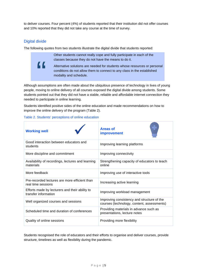to deliver courses. Four percent (4%) of students reported that their institution did not offer courses and 10% reported that they did not take any course at the time of survey.

## Digital divide

"

The following quotes from two students illustrate the digital divide that students reported:

Other students cannot really cope and fully participate in each of the classes because they do not have the means to do it.

Alternative solutions are needed for students whose resources or personal conditions do not allow them to connect to any class in the established modality and schedule.

Although assumptions are often made about the ubiquitous presence of technology in lives of young people, moving to online delivery of all courses exposed the digital divide among students. Some students pointed out that they did not have a stable, reliable and affordable internet connection they needed to participate in online learning.

Students identified positive sides of the online education and made recommendations on how to improve the online delivery of the program (Table 2).

|  |  | Table 2. Students' perceptions of online education |
|--|--|----------------------------------------------------|
|--|--|----------------------------------------------------|

| <b>Working well</b>                                                    | <b>Areas of</b><br>improvement                                                           |
|------------------------------------------------------------------------|------------------------------------------------------------------------------------------|
| Good interaction between educators and<br>students                     | Improving learning platforms                                                             |
| More discipline and commitment                                         | Improving connectivity                                                                   |
| Availability of recordings, lectures and learning<br>materials         | Strengthening capacity of educators to teach<br>online                                   |
| More feedback                                                          | Improving use of interactive tools                                                       |
| Pre-recorded lectures are more efficient than<br>real time sessions    | Increasing active learning                                                               |
| Efforts made by lecturers and their ability to<br>transfer information | Improving workload management                                                            |
| Well organized courses and sessions                                    | Improving consistency and structure of the<br>courses (technology, content, assessments) |
| Scheduled time and duration of conferences                             | Providing materials in advance such as<br>presentations, lecture notes                   |
| Quality of online sessions                                             | Providing more flexibility                                                               |

Students recognised the role of educators and their efforts to organise and deliver courses, provide structure, timelines as well as flexibility during the pandemic.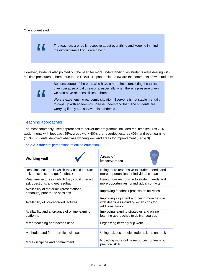#### One student said:

"

The teachers are really receptive about everything and keeping in mind the difficult time all of us are having.

However, students also pointed out the need for more understanding, as students were dealing with multiple pressures at home due to the COVID-19 pandemic. Below are the comments of two students:

"

Be considerate of the ones who have a hard time completing the tasks given because of valid reasons, especially when there is pressure given, we also have responsibilities at home.

We are experiencing pandemic situation. Everyone is not stable mentally to cope up with academics. Please understand that. The students are worrying if they can survive this pandemic.

## Teaching approaches

The most commonly used approaches to deliver the programme included real time lectures 79%, assignments with feedback 55%, group work 40%, pre-recorded lectures 40%, and peer learning (16%). Students identified what was working well and areas for improvement (Table 3).

#### Table 3. Students' perceptions of online education

| <b>Working well</b>                                                                 | Areas of<br>improvement                                                                                    |
|-------------------------------------------------------------------------------------|------------------------------------------------------------------------------------------------------------|
| Real time lectures in which they could interact,<br>ask questions, and get feedback | Being more responsive to student needs and<br>more opportunities for individual contacts                   |
| Real time lectures in which they could interact,<br>ask questions, and get feedback | Being more responsive to student needs and<br>more opportunities for individual contacts                   |
| Availability of materials (presentations,<br>handouts) prior to the sessions        | Improving feedback process on activities                                                                   |
| Availability of pre-recorded lectures                                               | Improving alignment and being more flexible<br>with deadlines including extensions for<br>additional tasks |
| Availability and affordance of online learning<br>platforms                         | Improving learning strategies and online<br>learning approaches to deliver courses                         |
| Mix of teaching approaches used                                                     | Organizing better group work                                                                               |
| Methods used for theoretical classes                                                | Using quizzes to help students keep on track                                                               |
| More discipline and commitment                                                      | Providing more online resources for learning<br>practical skills                                           |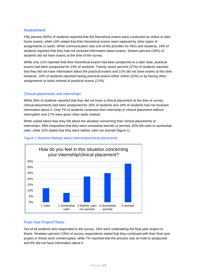## Assessment

Fifty percent (50%) of students reported that the theoretical exams were conducted as online or take home exams, while 14% stated that their theoretical exams were replaced by other types of assignments or tasks. While communication was one of the priorities for HEIs and students, 19% of students reported that they had not received information about exams. Sixteen percent (16%) of students did not have exams at the time of the survey.

While only 11% reported that their theoretical exams had been postponed to a later date, practical exams had been postponed for 23% of students. Twenty seven percent (27%) of students reported that they did not have information about the practical exams and 21% did not have exams at this time. However, 33% of students reported having practical exams either online (22%) or by having other assignments or tasks instead of practical exams (11%).

#### Clinical placements and internships

While 26% of students reported that they did not have a clinical placement at the time of survey, clinical placements had been postponed for 25% of students and 19% of students had not received information about it. Only 7% of students continued their internship or clinical placement without interruption and 17% were given other tasks instead.

When asked about how they felt about the situation concerning their clinical placements or internships, 58% responded that they were somewhat worried or worried, 20% felt calm or somewhat calm, while 22% stated that they were neither calm nor worried (figure 1).



#### Figure 1 Students feelings about internships/clinical placements

#### Final Year Project/Thesis

Out of all students who responded to the survey, 33% were undertaking the final year project or thesis. Nineteen percent (19%) of survey respondents stated that they continued with their final year project or thesis work uninterrupted, while 7% reported that the process was on hold or postponed and 6% did not have information about it.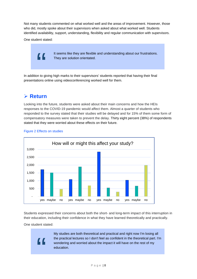Not many students commented on what worked well and the areas of improvement. However, those who did, mostly spoke about their supervisors when asked about what worked well. Students identified availability, support, understanding, flexibility and regular communication with supervisors.

One student stated:

"

It seems like they are flexible and understanding about our frustrations. They are solution orientated.

In addition to giving high marks to their supervisors' students reported that having their final presentations online using videoconferencing worked well for them.

## **Return**

Looking into the future, students were asked about their main concerns and how the HEIs responses to the COVID-19 pandemic would affect them. Almost a quarter of students who responded to the survey stated that their studies will be delayed and for 15% of them some form of compensatory measures were taken to prevent the delay. Thirty eight percent (38%) of respondents stated that they were worried about these effects on their future.



#### Figure 2 Effects on studies

Students expressed their concerns about both the short- and long-term impact of this interruption in their education, including their confidence in what they have learned theoretically and practically.

#### One student stated:

"<br>"

My studies are both theoretical and practical and right now I'm losing all the practical lectures so I don't feel as confident in the theoretical part. I'm wondering and worried about the impact it will have on the rest of my education.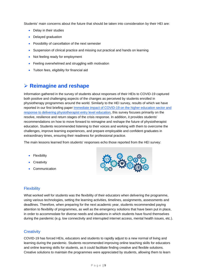Students' main concerns about the future that should be taken into consideration by their HEI are:

- Delay in their studies
- Delayed graduation
- Possibility of cancellation of the next semester
- Suspension of clinical practice and missing out practical and hands on learning
- Not feeling ready for employment
- Feeling overwhelmed and struggling with motivation
- Tuition fees, eligibility for financial aid

## **Reimagine and reshape**

Information gathered in the survey of students about responses of their HEIs to COVID-19 captured both positive and challenging aspects of the changes as perceived by students enrolled in physiotherapy programmes around the world. Similarly to the HEI survey, results of which we have reported in our first briefing paper [Immediate impact of COVID-19 on the higher education sector and](https://www.wcpt.org/sites/wcpt.org/files/files/wcptnews/images/Education-Briefing-1-HEI-A4.pdf)  [response to delivering physiotherapist entry level education,](https://www.wcpt.org/sites/wcpt.org/files/files/wcptnews/images/Education-Briefing-1-HEI-A4.pdf) this survey focuses primarily on the resolve, resilience and return stages of the crisis response. In addition, it provides students' recommendations on how to move forward to reimagine and reshape the future of physiotherapist education. Students recommended listening to their voices and working with them to overcome the challenges, improve learning experiences, and prepare employable and confident graduates in extraordinary times, ensuring their readiness for professional practice.

The main lessons learned from students' responses echo those reported from the HEI survey:

- Flexibility
- Creativity
- Communication



#### **Flexibility**

What worked well for students was the flexibility of their educators when delivering the programme, using various technologies, setting the learning activities, timelines, assignments, assessments and deadlines. Therefore, when preparing for the next academic year, students recommended paying attention to flexibility of programmes, as well as the emergency solutions that have been put in place, in order to accommodate for diverse needs and situations in which students have found themselves during the pandemic (e.g. low connectivity and interrupted internet access, mental health issues, etc.).

#### **Creativity**

COVID-19 has forced HEIs, educators and students to rapidly adjust to a new normal of living and learning during the pandemic. Students recommended improving online teaching skills for educators and online learning skills for students, as it could facilitate finding creative and flexible solutions. Creative solutions to maintain the programmes were appreciated by students, allowing them to learn